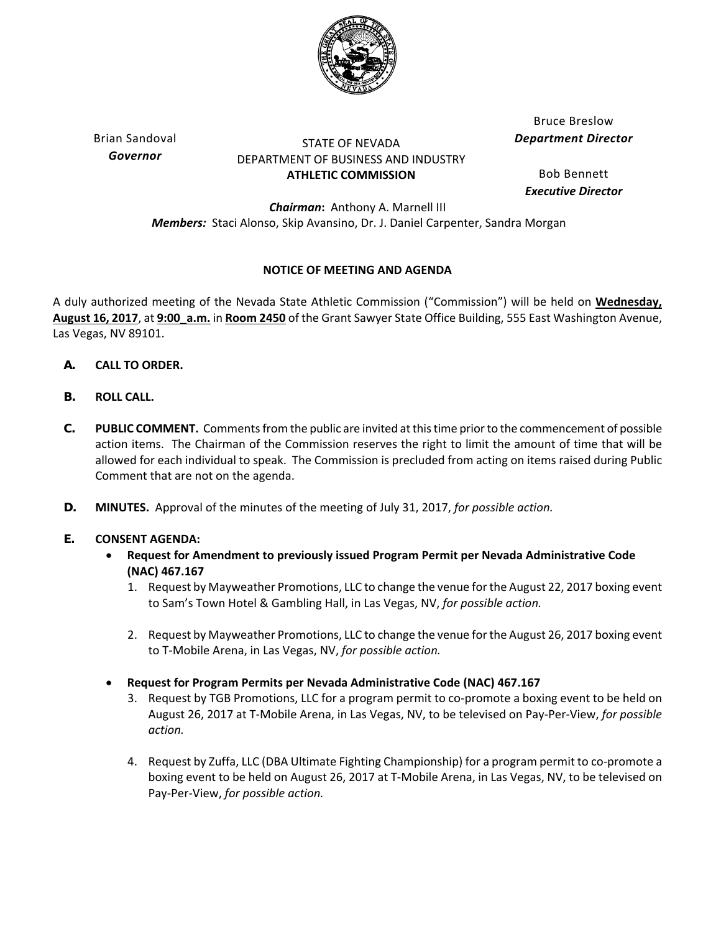

Brian Sandoval *Governor*

## STATE OF NEVADA DEPARTMENT OF BUSINESS AND INDUSTRY **ATHLETIC COMMISSION**

Bruce Breslow *Department Director*

Bob Bennett *Executive Director*

*Chairman***:** Anthony A. Marnell III *Members:* Staci Alonso, Skip Avansino, Dr. J. Daniel Carpenter, Sandra Morgan

# **NOTICE OF MEETING AND AGENDA**

A duly authorized meeting of the Nevada State Athletic Commission ("Commission") will be held on **Wednesday, August 16, 2017**, at **9:00\_a.m.** in **Room 2450** of the Grant Sawyer State Office Building, 555 East Washington Avenue, Las Vegas, NV 89101.

- **A. CALL TO ORDER.**
- **B. ROLL CALL.**
- **C. PUBLIC COMMENT.** Commentsfrom the public are invited atthistime priorto the commencement of possible action items. The Chairman of the Commission reserves the right to limit the amount of time that will be allowed for each individual to speak. The Commission is precluded from acting on items raised during Public Comment that are not on the agenda.
- **D. MINUTES.** Approval of the minutes of the meeting of July 31, 2017, *for possible action.*

## **E. CONSENT AGENDA:**

- **Request for Amendment to previously issued Program Permit per Nevada Administrative Code (NAC) 467.167**
	- 1. Request by Mayweather Promotions, LLC to change the venue forthe August 22, 2017 boxing event to Sam's Town Hotel & Gambling Hall, in Las Vegas, NV, *for possible action.*
	- 2. Request by Mayweather Promotions, LLC to change the venue forthe August 26, 2017 boxing event to T‐Mobile Arena, in Las Vegas, NV, *for possible action.*
- **Request for Program Permits per Nevada Administrative Code (NAC) 467.167**
	- 3. Request by TGB Promotions, LLC for a program permit to co-promote a boxing event to be held on August 26, 2017 at T‐Mobile Arena, in Las Vegas, NV, to be televised on Pay‐Per‐View, *for possible action.*
	- 4. Request by Zuffa, LLC (DBA Ultimate Fighting Championship) for a program permit to co-promote a boxing event to be held on August 26, 2017 at T‐Mobile Arena, in Las Vegas, NV, to be televised on Pay‐Per‐View, *for possible action.*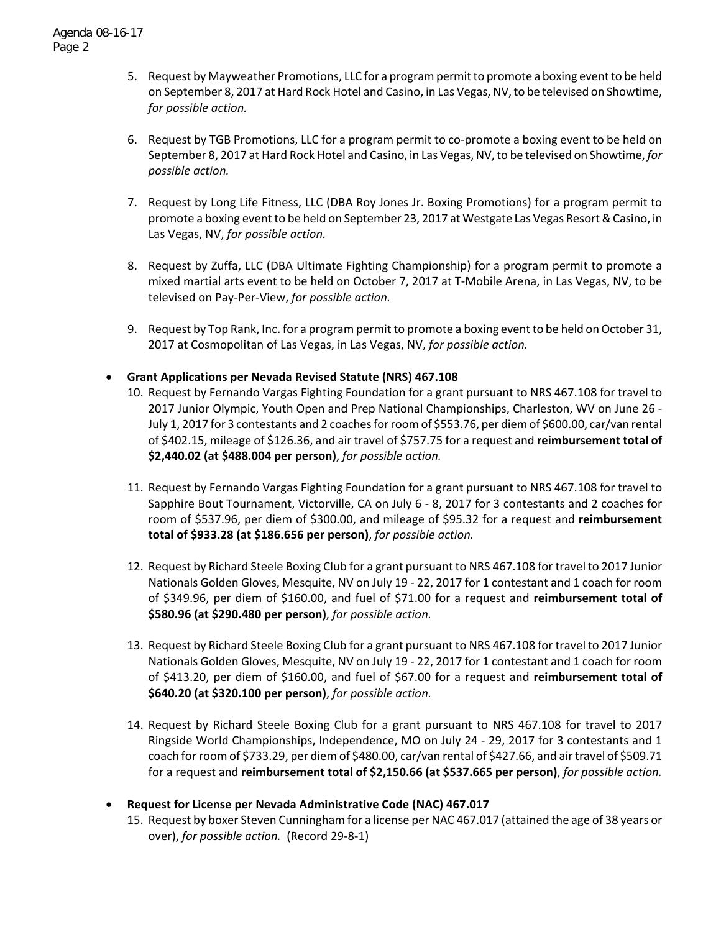- 5. Request by Mayweather Promotions, LLC for a program permit to promote a boxing event to be held on September 8, 2017 at Hard Rock Hotel and Casino, in Las Vegas,NV,to be televised on Showtime, *for possible action.*
- 6. Request by TGB Promotions, LLC for a program permit to co‐promote a boxing event to be held on September 8, 2017 at Hard Rock Hotel and Casino, in Las Vegas, NV, to be televised on Showtime, *for possible action.*
- 7. Request by Long Life Fitness, LLC (DBA Roy Jones Jr. Boxing Promotions) for a program permit to promote a boxing event to be held on September 23, 2017 at Westgate Las Vegas Resort&Casino, in Las Vegas, NV, *for possible action.*
- 8. Request by Zuffa, LLC (DBA Ultimate Fighting Championship) for a program permit to promote a mixed martial arts event to be held on October 7, 2017 at T‐Mobile Arena, in Las Vegas, NV, to be televised on Pay‐Per‐View, *for possible action.*
- 9. Request by Top Rank, Inc. for a program permit to promote a boxing event to be held on October 31, 2017 at Cosmopolitan of Las Vegas, in Las Vegas, NV, *for possible action.*
- **Grant Applications per Nevada Revised Statute (NRS) 467.108**
	- 10. Request by Fernando Vargas Fighting Foundation for a grant pursuant to NRS 467.108 for travel to 2017 Junior Olympic, Youth Open and Prep National Championships, Charleston, WV on June 26 ‐ July 1, 2017 for 3 contestants and 2 coachesforroomof \$553.76, per diemof \$600.00, car/van rental of \$402.15, mileage of \$126.36, and air travel of \$757.75 for a request and **reimbursement total of \$2,440.02 (at \$488.004 per person)**, *for possible action.*
	- 11. Request by Fernando Vargas Fighting Foundation for a grant pursuant to NRS 467.108 for travel to Sapphire Bout Tournament, Victorville, CA on July 6 ‐ 8, 2017 for 3 contestants and 2 coaches for room of \$537.96, per diem of \$300.00, and mileage of \$95.32 for a request and **reimbursement total of \$933.28 (at \$186.656 per person)**, *for possible action.*
	- 12. Request by Richard Steele Boxing Club for a grant pursuant to NRS 467.108 for travel to 2017 Junior Nationals Golden Gloves, Mesquite, NV on July 19 ‐ 22, 2017 for 1 contestant and 1 coach for room of \$349.96, per diem of \$160.00, and fuel of \$71.00 for a request and **reimbursement total of \$580.96 (at \$290.480 per person)**, *for possible action.*
	- 13. Request by Richard Steele Boxing Club for a grant pursuant to NRS 467.108 for travel to 2017 Junior Nationals Golden Gloves, Mesquite, NV on July 19 ‐ 22, 2017 for 1 contestant and 1 coach for room of \$413.20, per diem of \$160.00, and fuel of \$67.00 for a request and **reimbursement total of \$640.20 (at \$320.100 per person)**, *for possible action.*
	- 14. Request by Richard Steele Boxing Club for a grant pursuant to NRS 467.108 for travel to 2017 Ringside World Championships, Independence, MO on July 24 ‐ 29, 2017 for 3 contestants and 1 coach forroom of \$733.29, per diem of \$480.00, car/van rental of \$427.66, and airtravel of \$509.71 for a request and **reimbursement total of \$2,150.66 (at \$537.665 per person)**, *for possible action.*
- **Request for License per Nevada Administrative Code (NAC) 467.017**
	- 15. Request by boxer Steven Cunningham for a license per NAC 467.017 (attained the age of 38 years or over), *for possible action.* (Record 29‐8‐1)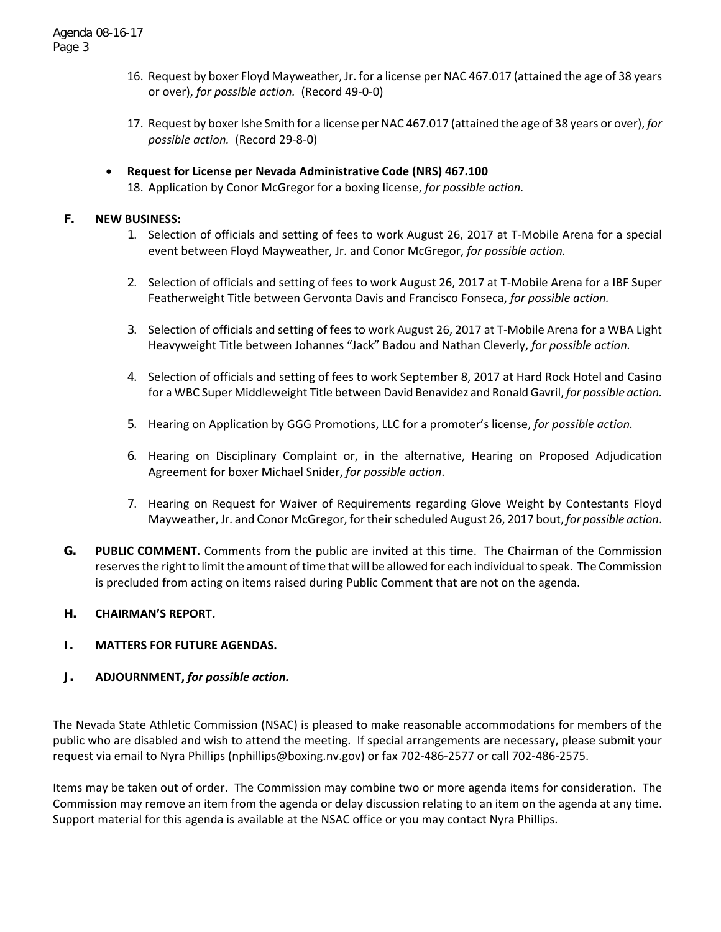- 16. Request by boxer Floyd Mayweather, Jr. for a license per NAC 467.017 (attained the age of 38 years or over), *for possible action.* (Record 49‐0‐0)
- 17. Request by boxer Ishe Smith for a license per NAC 467.017 (attained the age of 38 years or over), *for possible action.* (Record 29‐8‐0)
- **Request for License per Nevada Administrative Code (NRS) 467.100** 18. Application by Conor McGregor for a boxing license, *for possible action.*

#### **F. NEW BUSINESS:**

- 1. Selection of officials and setting of fees to work August 26, 2017 at T‐Mobile Arena for a special event between Floyd Mayweather, Jr. and Conor McGregor, *for possible action.*
- 2. Selection of officials and setting of fees to work August 26, 2017 at T‐Mobile Arena for a IBF Super Featherweight Title between Gervonta Davis and Francisco Fonseca, *for possible action.*
- 3. Selection of officials and setting of fees to work August 26, 2017 at T-Mobile Arena for a WBA Light Heavyweight Title between Johannes "Jack" Badou and Nathan Cleverly, *for possible action.*
- 4. Selection of officials and setting of fees to work September 8, 2017 at Hard Rock Hotel and Casino for a WBC Super Middleweight Title between David Benavidez and Ronald Gavril, *for possible action.*
- 5. Hearing on Application by GGG Promotions, LLC for a promoter's license, *for possible action.*
- 6. Hearing on Disciplinary Complaint or, in the alternative, Hearing on Proposed Adjudication Agreement for boxer Michael Snider, *for possible action*.
- 7. Hearing on Request for Waiver of Requirements regarding Glove Weight by Contestants Floyd Mayweather, Jr. and Conor McGregor, fortheirscheduled August 26, 2017 bout, *for possible action*.
- **G. PUBLIC COMMENT.** Comments from the public are invited at this time. The Chairman of the Commission reserves the right to limit the amount of time that will be allowed for each individual to speak. The Commission is precluded from acting on items raised during Public Comment that are not on the agenda.

#### **H. CHAIRMAN'S REPORT.**

#### **I. MATTERS FOR FUTURE AGENDAS.**

## **J. ADJOURNMENT,** *for possible action.*

The Nevada State Athletic Commission (NSAC) is pleased to make reasonable accommodations for members of the public who are disabled and wish to attend the meeting. If special arrangements are necessary, please submit your request via email to Nyra Phillips (nphillips@boxing.nv.gov) or fax 702‐486‐2577 or call 702‐486‐2575.

Items may be taken out of order. The Commission may combine two or more agenda items for consideration. The Commission may remove an item from the agenda or delay discussion relating to an item on the agenda at any time. Support material for this agenda is available at the NSAC office or you may contact Nyra Phillips.